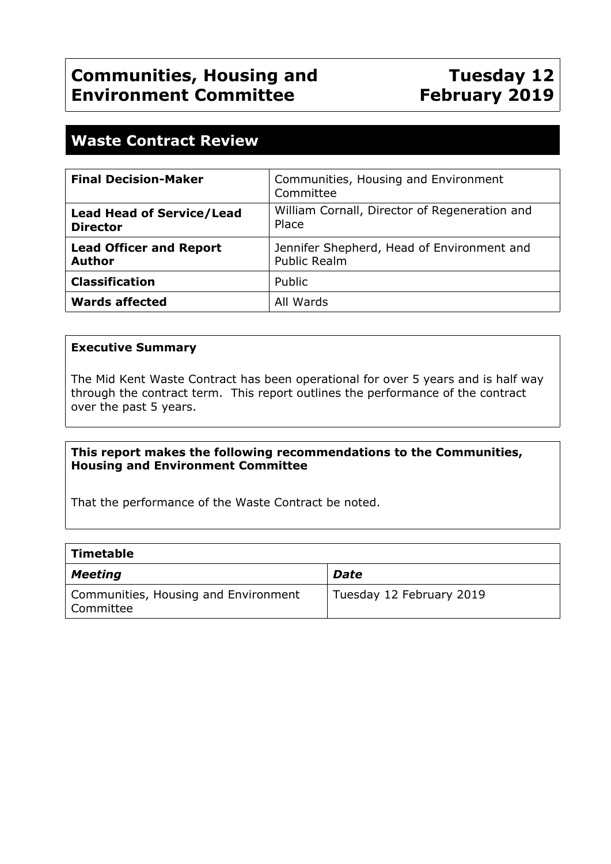# **Tuesday 12 February 2019**

# **Waste Contract Review**

| <b>Final Decision-Maker</b>                         | Communities, Housing and Environment<br>Committee                 |
|-----------------------------------------------------|-------------------------------------------------------------------|
| <b>Lead Head of Service/Lead</b><br><b>Director</b> | William Cornall, Director of Regeneration and<br>Place            |
| <b>Lead Officer and Report</b><br><b>Author</b>     | Jennifer Shepherd, Head of Environment and<br><b>Public Realm</b> |
| <b>Classification</b>                               | Public                                                            |
| <b>Wards affected</b>                               | All Wards                                                         |

### **Executive Summary**

The Mid Kent Waste Contract has been operational for over 5 years and is half way through the contract term. This report outlines the performance of the contract over the past 5 years.

### **This report makes the following recommendations to the Communities, Housing and Environment Committee**

That the performance of the Waste Contract be noted.

| Timetable                                           |                          |
|-----------------------------------------------------|--------------------------|
| Meeting                                             | Date                     |
| Communities, Housing and Environment<br>l Committee | Tuesday 12 February 2019 |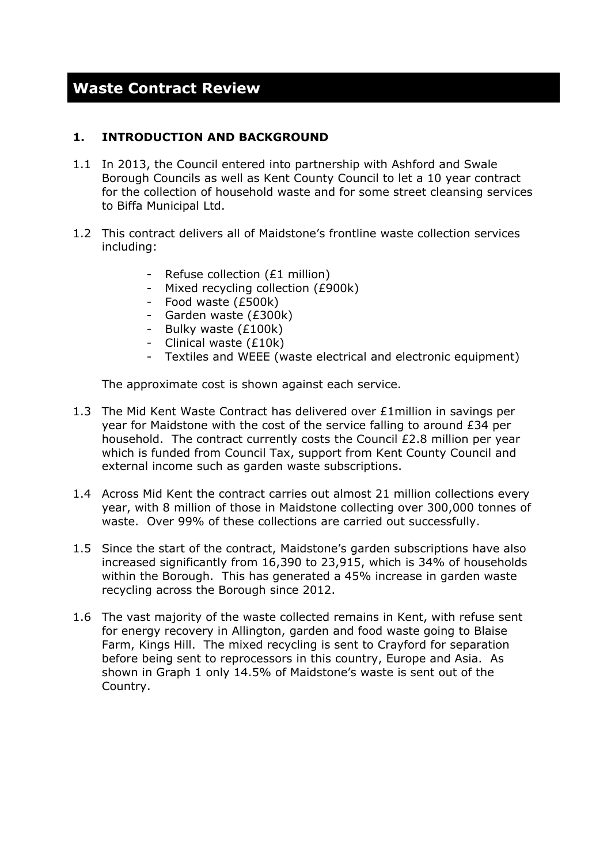# **Waste Contract Review**

#### **1. INTRODUCTION AND BACKGROUND**

- 1.1 In 2013, the Council entered into partnership with Ashford and Swale Borough Councils as well as Kent County Council to let a 10 year contract for the collection of household waste and for some street cleansing services to Biffa Municipal Ltd.
- 1.2 This contract delivers all of Maidstone's frontline waste collection services including:
	- Refuse collection (£1 million)
	- Mixed recycling collection (£900k)
	- Food waste (£500k)
	- Garden waste (£300k)
	- Bulky waste (£100k)
	- Clinical waste (£10k)
	- Textiles and WEEE (waste electrical and electronic equipment)

The approximate cost is shown against each service.

- 1.3 The Mid Kent Waste Contract has delivered over £1million in savings per year for Maidstone with the cost of the service falling to around £34 per household. The contract currently costs the Council £2.8 million per year which is funded from Council Tax, support from Kent County Council and external income such as garden waste subscriptions.
- 1.4 Across Mid Kent the contract carries out almost 21 million collections every year, with 8 million of those in Maidstone collecting over 300,000 tonnes of waste. Over 99% of these collections are carried out successfully.
- 1.5 Since the start of the contract, Maidstone's garden subscriptions have also increased significantly from 16,390 to 23,915, which is 34% of households within the Borough. This has generated a 45% increase in garden waste recycling across the Borough since 2012.
- 1.6 The vast majority of the waste collected remains in Kent, with refuse sent for energy recovery in Allington, garden and food waste going to Blaise Farm, Kings Hill. The mixed recycling is sent to Crayford for separation before being sent to reprocessors in this country, Europe and Asia. As shown in Graph 1 only 14.5% of Maidstone's waste is sent out of the Country.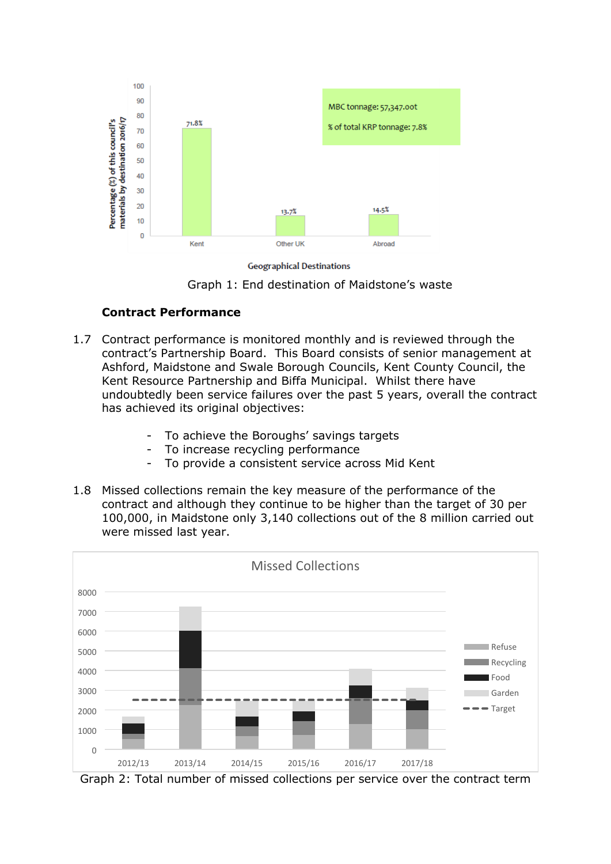

**Geographical Destinations** 

Graph 1: End destination of Maidstone's waste

#### **Contract Performance**

- 1.7 Contract performance is monitored monthly and is reviewed through the contract's Partnership Board. This Board consists of senior management at Ashford, Maidstone and Swale Borough Councils, Kent County Council, the Kent Resource Partnership and Biffa Municipal. Whilst there have undoubtedly been service failures over the past 5 years, overall the contract has achieved its original objectives:
	- To achieve the Boroughs' savings targets
	- To increase recycling performance
	- To provide a consistent service across Mid Kent
- 1.8 Missed collections remain the key measure of the performance of the contract and although they continue to be higher than the target of 30 per 100,000, in Maidstone only 3,140 collections out of the 8 million carried out were missed last year.



Graph 2: Total number of missed collections per service over the contract term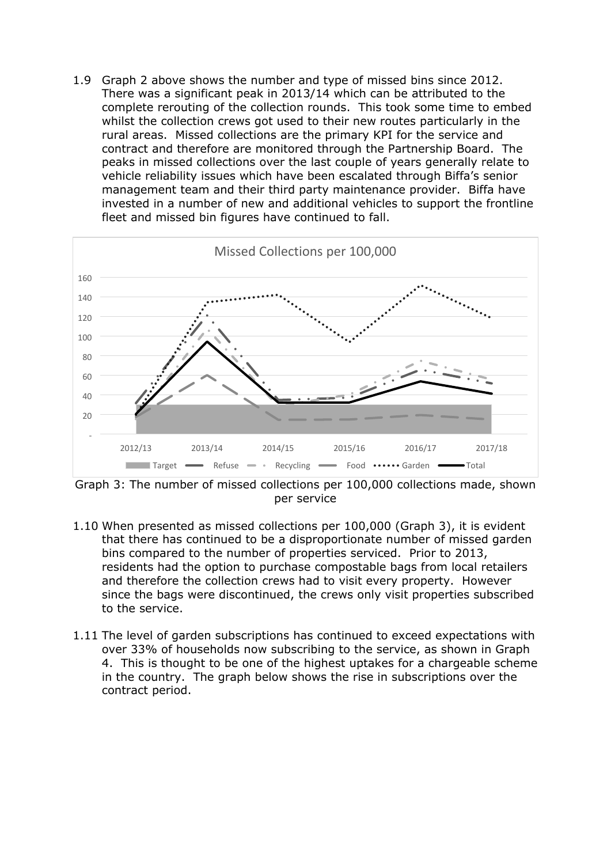1.9 Graph 2 above shows the number and type of missed bins since 2012. There was a significant peak in 2013/14 which can be attributed to the complete rerouting of the collection rounds. This took some time to embed whilst the collection crews got used to their new routes particularly in the rural areas. Missed collections are the primary KPI for the service and contract and therefore are monitored through the Partnership Board. The peaks in missed collections over the last couple of years generally relate to vehicle reliability issues which have been escalated through Biffa's senior management team and their third party maintenance provider. Biffa have invested in a number of new and additional vehicles to support the frontline fleet and missed bin figures have continued to fall.



Graph 3: The number of missed collections per 100,000 collections made, shown per service

- 1.10 When presented as missed collections per 100,000 (Graph 3), it is evident that there has continued to be a disproportionate number of missed garden bins compared to the number of properties serviced. Prior to 2013, residents had the option to purchase compostable bags from local retailers and therefore the collection crews had to visit every property. However since the bags were discontinued, the crews only visit properties subscribed to the service.
- 1.11 The level of garden subscriptions has continued to exceed expectations with over 33% of households now subscribing to the service, as shown in Graph 4. This is thought to be one of the highest uptakes for a chargeable scheme in the country. The graph below shows the rise in subscriptions over the contract period.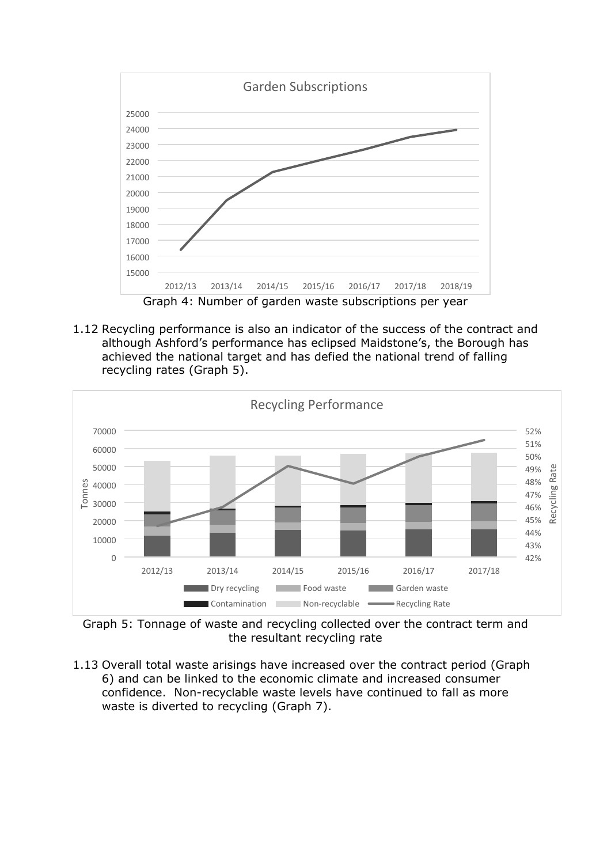

1.12 Recycling performance is also an indicator of the success of the contract and although Ashford's performance has eclipsed Maidstone's, the Borough has achieved the national target and has defied the national trend of falling recycling rates (Graph 5).



Graph 5: Tonnage of waste and recycling collected over the contract term and the resultant recycling rate

1.13 Overall total waste arisings have increased over the contract period (Graph 6) and can be linked to the economic climate and increased consumer confidence. Non-recyclable waste levels have continued to fall as more waste is diverted to recycling (Graph 7).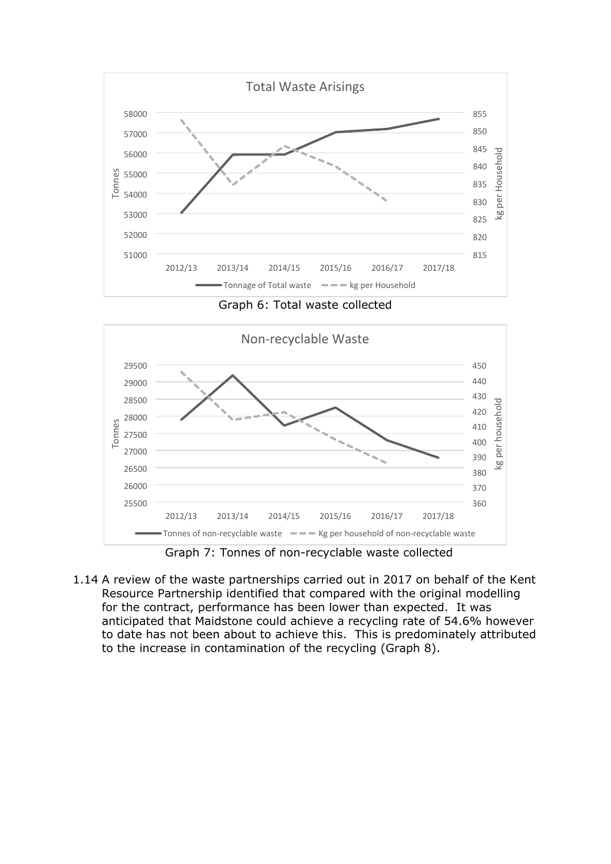

Graph 6: Total waste collected



Graph 7: Tonnes of non-recyclable waste collected

1.14 A review of the waste partnerships carried out in 2017 on behalf of the Kent Resource Partnership identified that compared with the original modelling for the contract, performance has been lower than expected. It was anticipated that Maidstone could achieve a recycling rate of 54.6% however to date has not been about to achieve this. This is predominately attributed to the increase in contamination of the recycling (Graph 8).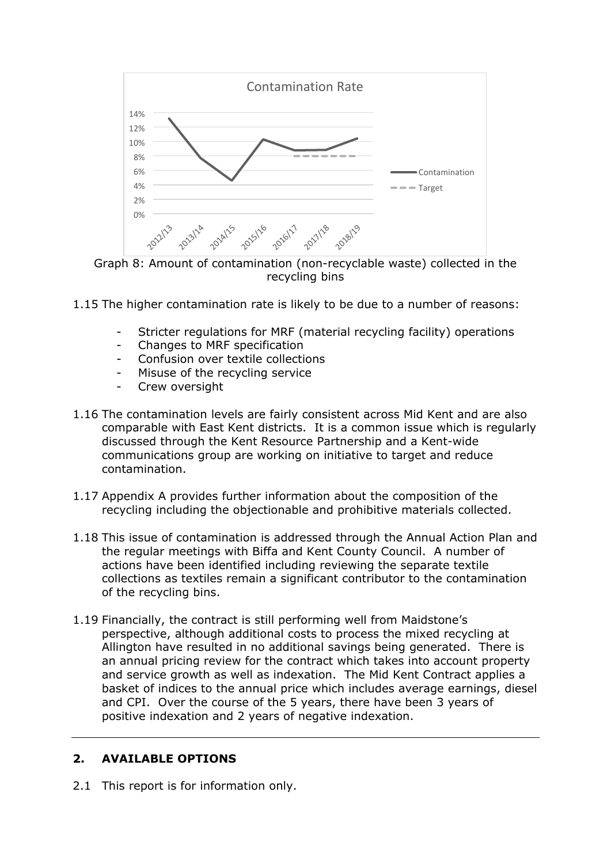

Graph 8: Amount of contamination (non-recyclable waste) collected in the recycling bins

- 1.15 The higher contamination rate is likely to be due to a number of reasons:
	- Stricter regulations for MRF (material recycling facility) operations
	- Changes to MRF specification
	- Confusion over textile collections
	- Misuse of the recycling service
	- Crew oversight
- 1.16 The contamination levels are fairly consistent across Mid Kent and are also comparable with East Kent districts. It is a common issue which is regularly discussed through the Kent Resource Partnership and a Kent-wide communications group are working on initiative to target and reduce contamination.
- 1.17 Appendix A provides further information about the composition of the recycling including the objectionable and prohibitive materials collected.
- 1.18 This issue of contamination is addressed through the Annual Action Plan and the regular meetings with Biffa and Kent County Council. A number of actions have been identified including reviewing the separate textile collections as textiles remain a significant contributor to the contamination of the recycling bins.
- 1.19 Financially, the contract is still performing well from Maidstone's perspective, although additional costs to process the mixed recycling at Allington have resulted in no additional savings being generated. There is an annual pricing review for the contract which takes into account property and service growth as well as indexation. The Mid Kent Contract applies a basket of indices to the annual price which includes average earnings, diesel and CPI. Over the course of the 5 years, there have been 3 years of positive indexation and 2 years of negative indexation.

## **2. AVAILABLE OPTIONS**

2.1 This report is for information only.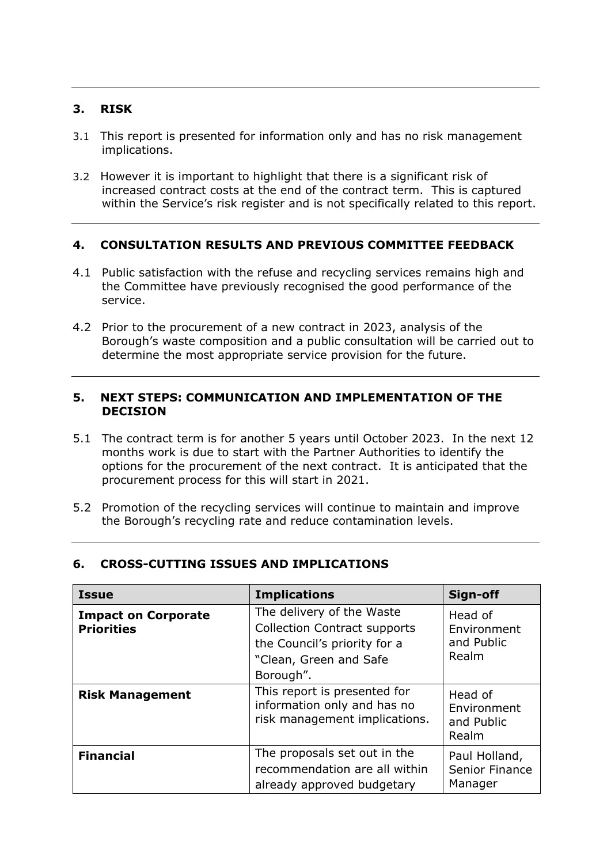### **3. RISK**

- 3.1 This report is presented for information only and has no risk management implications.
- 3.2 However it is important to highlight that there is a significant risk of increased contract costs at the end of the contract term. This is captured within the Service's risk register and is not specifically related to this report.

### **4. CONSULTATION RESULTS AND PREVIOUS COMMITTEE FEEDBACK**

- 4.1 Public satisfaction with the refuse and recycling services remains high and the Committee have previously recognised the good performance of the service.
- 4.2 Prior to the procurement of a new contract in 2023, analysis of the Borough's waste composition and a public consultation will be carried out to determine the most appropriate service provision for the future.

#### **5. NEXT STEPS: COMMUNICATION AND IMPLEMENTATION OF THE DECISION**

- 5.1 The contract term is for another 5 years until October 2023. In the next 12 months work is due to start with the Partner Authorities to identify the options for the procurement of the next contract. It is anticipated that the procurement process for this will start in 2021.
- 5.2 Promotion of the recycling services will continue to maintain and improve the Borough's recycling rate and reduce contamination levels.

| <b>Issue</b>                                    | <b>Implications</b>                                                                                                                     | Sign-off                                      |
|-------------------------------------------------|-----------------------------------------------------------------------------------------------------------------------------------------|-----------------------------------------------|
| <b>Impact on Corporate</b><br><b>Priorities</b> | The delivery of the Waste<br><b>Collection Contract supports</b><br>the Council's priority for a<br>"Clean, Green and Safe<br>Borough". | Head of<br>Environment<br>and Public<br>Realm |
| <b>Risk Management</b>                          | This report is presented for<br>information only and has no<br>risk management implications.                                            | Head of<br>Environment<br>and Public<br>Realm |
| <b>Financial</b>                                | The proposals set out in the<br>recommendation are all within<br>already approved budgetary                                             | Paul Holland,<br>Senior Finance<br>Manager    |

#### **6. CROSS-CUTTING ISSUES AND IMPLICATIONS**